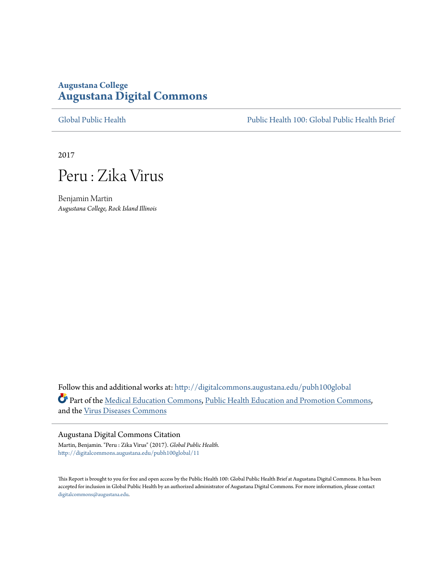### **Augustana College [Augustana Digital Commons](http://digitalcommons.augustana.edu?utm_source=digitalcommons.augustana.edu%2Fpubh100global%2F11&utm_medium=PDF&utm_campaign=PDFCoverPages)**

[Global Public Health](http://digitalcommons.augustana.edu/pubh100global?utm_source=digitalcommons.augustana.edu%2Fpubh100global%2F11&utm_medium=PDF&utm_campaign=PDFCoverPages) [Public Health 100: Global Public Health Brief](http://digitalcommons.augustana.edu/pubh100?utm_source=digitalcommons.augustana.edu%2Fpubh100global%2F11&utm_medium=PDF&utm_campaign=PDFCoverPages)

2017



Benjamin Martin *Augustana College, Rock Island Illinois*

Follow this and additional works at: [http://digitalcommons.augustana.edu/pubh100global](http://digitalcommons.augustana.edu/pubh100global?utm_source=digitalcommons.augustana.edu%2Fpubh100global%2F11&utm_medium=PDF&utm_campaign=PDFCoverPages) Part of the [Medical Education Commons,](http://network.bepress.com/hgg/discipline/1125?utm_source=digitalcommons.augustana.edu%2Fpubh100global%2F11&utm_medium=PDF&utm_campaign=PDFCoverPages) [Public Health Education and Promotion Commons](http://network.bepress.com/hgg/discipline/743?utm_source=digitalcommons.augustana.edu%2Fpubh100global%2F11&utm_medium=PDF&utm_campaign=PDFCoverPages), and the [Virus Diseases Commons](http://network.bepress.com/hgg/discipline/998?utm_source=digitalcommons.augustana.edu%2Fpubh100global%2F11&utm_medium=PDF&utm_campaign=PDFCoverPages)

#### Augustana Digital Commons Citation

Martin, Benjamin. "Peru : Zika Virus" (2017). *Global Public Health.* [http://digitalcommons.augustana.edu/pubh100global/11](http://digitalcommons.augustana.edu/pubh100global/11?utm_source=digitalcommons.augustana.edu%2Fpubh100global%2F11&utm_medium=PDF&utm_campaign=PDFCoverPages)

This Report is brought to you for free and open access by the Public Health 100: Global Public Health Brief at Augustana Digital Commons. It has been accepted for inclusion in Global Public Health by an authorized administrator of Augustana Digital Commons. For more information, please contact [digitalcommons@augustana.edu.](mailto:digitalcommons@augustana.edu)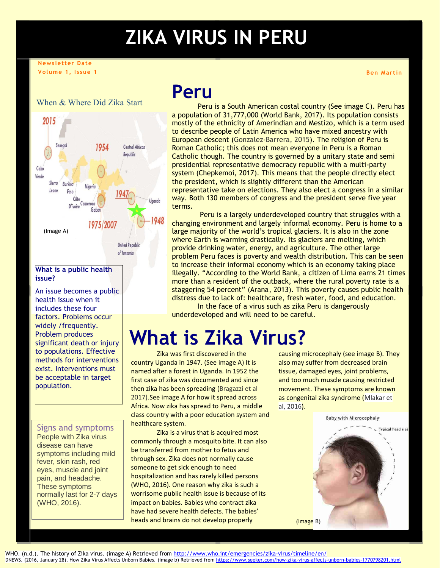# **ZIKA VIRUS IN PERU**

#### **Newsletter Date Volume 1, Issue 1**

#### When & Where Did Zika Start



#### **What is a public health issue?**

An issue becomes a public health issue when it includes these four factors. Problems occur widely /frequently. Problem produces significant death or injury to populations. Effective methods for interventions exist. Interventions must be acceptable in target population.

#### Signs and symptoms

People with Zika virus disease can have symptoms including mild fever, skin rash, red eyes, muscle and joint pain, and headache. These symptoms normally last for 2-7 days (WHO, 2016).

## **Peru**

Peru is a South American costal country (See image C). Peru has a population of 31,777,000 (World Bank, 2017). Its population consists mostly of the ethnicity of Amerindian and Mestizo, which is a term used to describe people of Latin America who have mixed ancestry with European descent (Gonzalez-Barrera, 2015). The religion of Peru is Roman Catholic; this does not mean everyone in Peru is a Roman Catholic though. The country is governed by a unitary state and semi presidential representative democracy republic with a multi-party system (Chepkemoi, 2017). This means that the people directly elect the president, which is slightly different than the American representative take on elections. They also elect a congress in a similar way. Both 130 members of congress and the president serve five year terms.

Peru is a largely underdeveloped country that struggles with a changing environment and largely informal economy. Peru is home to a large majority of the world's tropical glaciers. It is also in the zone where Earth is warming drastically. Its glaciers are melting, which provide drinking water, energy, and agriculture. The other large problem Peru faces is poverty and wealth distribution. This can be seen to increase their informal economy which is an economy taking place illegally. "According to the World Bank, a citizen of Lima earns 21 times more than a resident of the outback, where the rural poverty rate is a staggering 54 percent" (Arana, 2013). This poverty causes public health distress due to lack of: healthcare, fresh water, food, and education. In the face of a virus such as zika Peru is dangerously

underdeveloped and will need to be careful.

# **What is Zika Virus?**

Zika was first discovered in the country Uganda in 1947. (See image A) It is named after a forest in Uganda. In 1952 the first case of zika was documented and since then zika has been spreading (Bragazzi et al 2017).See image A for how it spread across Africa. Now zika has spread to Peru, a middle class country with a poor education system and healthcare system.

Zika is a virus that is acquired most commonly through a mosquito bite. It can also be transferred from mother to fetus and through sex. Zika does not normally cause someone to get sick enough to need hospitalization and has rarely killed persons (WHO, 2016). One reason why zika is such a worrisome public health issue is because of its impact on babies. Babies who contract zika have had severe health defects. The babies' heads and brains do not develop properly

causing microcephaly (see image B). They also may suffer from decreased brain tissue, damaged eyes, joint problems, and too much muscle causing restricted movement. These symptoms are known as congenital zika syndrome (Mlakar et al, 2016).



**Ben Martin**